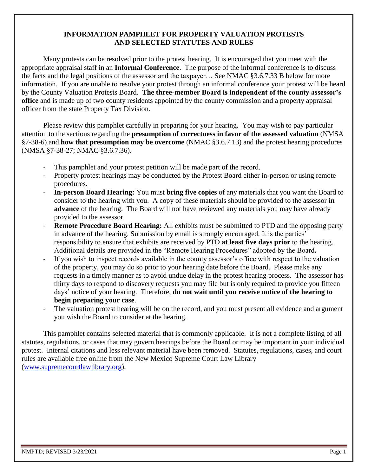# **INFORMATION PAMPHLET FOR PROPERTY VALUATION PROTESTS AND SELECTED STATUTES AND RULES**

Many protests can be resolved prior to the protest hearing. It is encouraged that you meet with the appropriate appraisal staff in an **Informal Conference**. The purpose of the informal conference is to discuss the facts and the legal positions of the assessor and the taxpayer… See NMAC §3.6.7.33 B below for more information. If you are unable to resolve your protest through an informal conference your protest will be heard by the County Valuation Protests Board. **The three-member Board is independent of the county assessor's office** and is made up of two county residents appointed by the county commission and a property appraisal officer from the state Property Tax Division.

Please review this pamphlet carefully in preparing for your hearing. You may wish to pay particular attention to the sections regarding the **presumption of correctness in favor of the assessed valuation** (NMSA §7-38-6) and **how that presumption may be overcome** (NMAC §3.6.7.13) and the protest hearing procedures (NMSA §7-38-27; NMAC §3.6.7.36).

- This pamphlet and your protest petition will be made part of the record.
- Property protest hearings may be conducted by the Protest Board either in-person or using remote procedures.
- **In-person Board Hearing:** You must **bring five copies** of any materials that you want the Board to consider to the hearing with you. A copy of these materials should be provided to the assessor **in advance** of the hearing. The Board will not have reviewed any materials you may have already provided to the assessor.
- **Remote Procedure Board Hearing:** All exhibits must be submitted to PTD and the opposing party in advance of the hearing. Submission by email is strongly encouraged. It is the parties' responsibility to ensure that exhibits are received by PTD **at least five days prior** to the hearing. Additional details are provided in the "Remote Hearing Procedures" adopted by the Board**.**
- If you wish to inspect records available in the county assessor's office with respect to the valuation of the property, you may do so prior to your hearing date before the Board. Please make any requests in a timely manner as to avoid undue delay in the protest hearing process. The assessor has thirty days to respond to discovery requests you may file but is only required to provide you fifteen days' notice of your hearing. Therefore, **do not wait until you receive notice of the hearing to begin preparing your case**.
- The valuation protest hearing will be on the record, and you must present all evidence and argument you wish the Board to consider at the hearing.

This pamphlet contains selected material that is commonly applicable. It is not a complete listing of all statutes, regulations, or cases that may govern hearings before the Board or may be important in your individual protest. Internal citations and less relevant material have been removed. Statutes, regulations, cases, and court rules are available free online from the New Mexico Supreme Court Law Library [\(www.supremecourtlawlibrary.org\)](http://www.supremecourtlawlibrary.org/).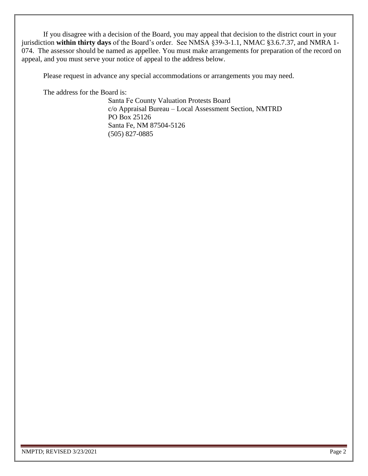If you disagree with a decision of the Board, you may appeal that decision to the district court in your jurisdiction **within thirty days** of the Board's order. See NMSA §39-3-1.1, NMAC §3.6.7.37, and NMRA 1- 074. The assessor should be named as appellee. You must make arrangements for preparation of the record on appeal, and you must serve your notice of appeal to the address below.

Please request in advance any special accommodations or arrangements you may need.

The address for the Board is:

Santa Fe County Valuation Protests Board c/o Appraisal Bureau – Local Assessment Section, NMTRD PO Box 25126 Santa Fe, NM 87504-5126 (505) 827-0885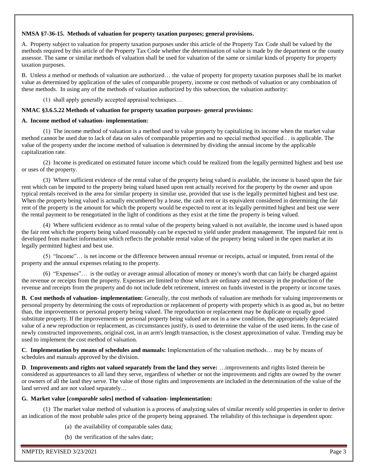#### **NMSA §7-36-15. Methods of valuation for property taxation purposes; general provisions.**

A. Property subject to valuation for property taxation purposes under this article of the Property Tax Code shall be valued by the methods required by this article of the Property Tax Code whether the determination of value is made by the department or the county assessor. The same or similar methods of valuation shall be used for valuation of the same or similar kinds of property for property taxation purposes.

B. Unless a method or methods of valuation are authorized… the value of property for property taxation purposes shall be its market value as determined by application of the sales of comparable property, income or cost methods of valuation or any combination of these methods. In using any of the methods of valuation authorized by this subsection, the valuation authority:

(1) shall apply generally accepted appraisal techniques…

## **NMAC §3.6.5.22 Methods of valuation for property taxation purposes- general provisions:**

#### **A. Income method of valuation- implementation:**

(1) The income method of valuation is a method used to value property by capitalizing its income when the market value method cannot be used due to lack of data on sales of comparable properties and no special method specified… is applicable. The value of the property under the income method of valuation is determined by dividing the annual income by the applicable capitalization rate.

(2) Income is predicated on estimated future income which could be realized from the legally permitted highest and best use or uses of the property.

(3) Where sufficient evidence of the rental value of the property being valued is available, the income is based upon the fair rent which can be imputed to the property being valued based upon rent actually received for the property by the owner and upon typical rentals received in the area for similar property in similar use, provided that use is the legally permitted highest and best use. When the property being valued is actually encumbered by a lease, the cash rent or its equivalent considered in determining the fair rent of the property is the amount for which the property would be expected to rent at its legally permitted highest and best use were the rental payment to be renegotiated in the light of conditions as they exist at the time the property is being valued.

(4) Where sufficient evidence as to rental value of the property being valued is not available, the income used is based upon the fair rent which the property being valued reasonably can be expected to yield under prudent management. The imputed fair rent is developed from market information which reflects the probable rental value of the property being valued in the open market at its legally permitted highest and best use.

(5) "Income"… is net income or the difference between annual revenue or receipts, actual or imputed, from rental of the property and the annual expenses relating to the property.

(6) "Expenses"… is the outlay or average annual allocation of money or money's worth that can fairly be charged against the revenue or receipts from the property. Expenses are limited to those which are ordinary and necessary in the production of the revenue and receipts from the property and do not include debt retirement, interest on funds invested in the property or income taxes.

**B. Cost methods of valuation- implementation:** Generally, the cost methods of valuation are methods for valuing improvements or personal property by determining the costs of reproduction or replacement of property with property which is as good as, but no better than, the improvements or personal property being valued. The reproduction or replacement may be duplicate or equally good substitute property. If the improvements or personal property being valued are not in a new condition, the appropriately depreciated value of a new reproduction or replacement, as circumstances justify, is used to determine the value of the used items. In the case of newly constructed improvements, original cost, in an arm's length transaction, is the closest approximation of value. Trending may be used to implement the cost method of valuation.

**C**. **Implementation by means of schedules and manuals:** Implementation of the valuation methods… may be by means of schedules and manuals approved by the division.

**D**. **Improvements and rights not valued separately from the land they serve:** …improvements and rights listed therein be considered as appurtenances to all land they serve, regardless of whether or not the improvements and rights are owned by the owner or owners of all the land they serve. The value of those rights and improvements are included in the determination of the value of the land served and are not valued separately…

#### **G. Market value [***comparable sales***] method of valuation- implementation:**

(1) The market value method of valuation is a process of analyzing sales of similar recently sold properties in order to derive an indication of the most probable sales price of the property being appraised. The reliability of this technique is dependent upon:

- (a) the availability of comparable sales data;
- (b) the verification of the sales date;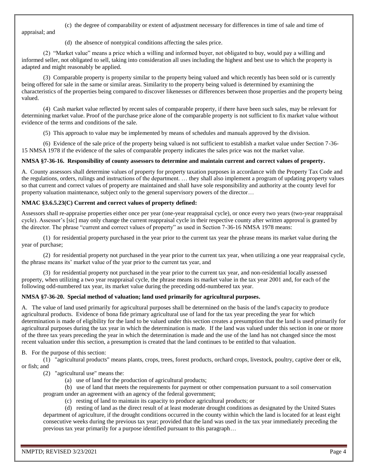# (c) the degree of comparability or extent of adjustment necessary for differences in time of sale and time of

appraisal; and

(d) the absence of nontypical conditions affecting the sales price.

(2) "Market value" means a price which a willing and informed buyer, not obligated to buy, would pay a willing and informed seller, not obligated to sell, taking into consideration all uses including the highest and best use to which the property is adapted and might reasonably be applied.

(3) Comparable property is property similar to the property being valued and which recently has been sold or is currently being offered for sale in the same or similar areas. Similarity to the property being valued is determined by examining the characteristics of the properties being compared to discover likenesses or differences between those properties and the property being valued.

(4) Cash market value reflected by recent sales of comparable property, if there have been such sales, may be relevant for determining market value. Proof of the purchase price alone of the comparable property is not sufficient to fix market value without evidence of the terms and conditions of the sale.

(5) This approach to value may be implemented by means of schedules and manuals approved by the division.

(6) Evidence of the sale price of the property being valued is not sufficient to establish a market value under Section 7-36- 15 NMSA 1978 if the evidence of the sales of comparable property indicates the sales price was not the market value.

## **NMSA §7-36-16. Responsibility of county assessors to determine and maintain current and correct values of property.**

A. County assessors shall determine values of property for property taxation purposes in accordance with the Property Tax Code and the regulations, orders, rulings and instructions of the department. … they shall also implement a program of updating property values so that current and correct values of property are maintained and shall have sole responsibility and authority at the county level for property valuation maintenance, subject only to the general supervisory powers of the director…

## **NMAC §3.6.5.23(C) Current and correct values of property defined:**

Assessors shall re-appraise properties either once per year (one-year reappraisal cycle), or once every two years (two-year reappraisal cycle). Assessor's [sic] may only change the current reappraisal cycle in their respective county after written approval is granted by the director. The phrase "current and correct values of property" as used in Section 7-36-16 NMSA 1978 means:

(1) for residential property purchased in the year prior to the current tax year the phrase means its market value during the year of purchase;

(2) for residential property not purchased in the year prior to the current tax year, when utilizing a one year reappraisal cycle, the phrase means its' market value of the year prior to the current tax year, and

(3) for residential property not purchased in the year prior to the current tax year, and non-residential locally assessed property, when utilizing a two year reappraisal cycle, the phrase means its market value in the tax year 2001 and, for each of the following odd-numbered tax year, its market value during the preceding odd-numbered tax year.

## **NMSA §7-36-20. Special method of valuation; land used primarily for agricultural purposes.**

A. The value of land used primarily for agricultural purposes shall be determined on the basis of the land's capacity to produce agricultural products. Evidence of bona fide primary agricultural use of land for the tax year preceding the year for which determination is made of eligibility for the land to be valued under this section creates a presumption that the land is used primarily for agricultural purposes during the tax year in which the determination is made. If the land was valued under this section in one or more of the three tax years preceding the year in which the determination is made and the use of the land has not changed since the most recent valuation under this section, a presumption is created that the land continues to be entitled to that valuation.

B. For the purpose of this section:

(1) "agricultural products" means plants, crops, trees, forest products, orchard crops, livestock, poultry, captive deer or elk, or fish; and

(2) "agricultural use" means the:

(a) use of land for the production of agricultural products;

(b) use of land that meets the requirements for payment or other compensation pursuant to a soil conservation program under an agreement with an agency of the federal government;

(c) resting of land to maintain its capacity to produce agricultural products; or

(d) resting of land as the direct result of at least moderate drought conditions as designated by the United States department of agriculture, if the drought conditions occurred in the county within which the land is located for at least eight consecutive weeks during the previous tax year; provided that the land was used in the tax year immediately preceding the previous tax year primarily for a purpose identified pursuant to this paragraph…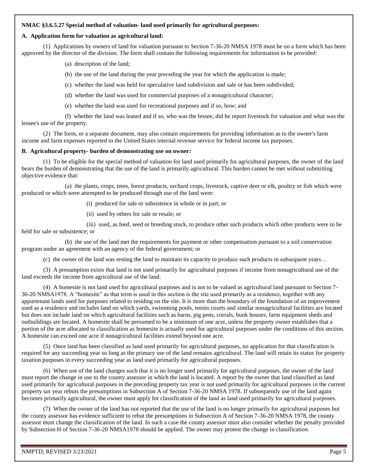#### **NMAC §3.6.5.27 Special method of valuation- land used primarily for agricultural purposes:**

## **A. Application form for valuation as agricultural land:**

(1) Applications by owners of land for valuation pursuant to Section 7-36-20 NMSA 1978 must be on a form which has been approved by the director of the division. The form shall contain the following requirements for information to be provided:

(a) description of the land;

(b) the use of the land during the year preceding the year for which the application is made;

(c) whether the land was held for speculative land subdivision and sale or has been subdivided;

(d) whether the land was used for commercial purposes of a nonagricultural character;

(e) whether the land was used for recreational purposes and if so, how; and

(f) whether the land was leased and if so, who was the lessee, did he report livestock for valuation and what was the lessee's use of the property.

(2) The form, or a separate document, may also contain requirements for providing information as to the owner's farm income and farm expenses reported to the United States internal revenue service for federal income tax purposes.

## **B. Agricultural property- burden of demonstrating use on owner:**

(1) To be eligible for the special method of valuation for land used primarily for agricultural purposes, the owner of the land bears the burden of demonstrating that the use of the land is primarily agricultural. This burden cannot be met without submitting objective evidence that:

(a) the plants, crops, trees, forest products, orchard crops, livestock, captive deer or elk, poultry or fish which were produced or which were attempted to be produced through use of the land were:

(i) produced for sale or subsistence in whole or in part; or

(ii) used by others for sale or resale; or

(iii) used, as feed, seed or breeding stock, to produce other such products which other products were to be

held for sale or subsistence; or

(b) the use of the land met the requirements for payment or other compensation pursuant to a soil conservation program under an agreement with an agency of the federal government; or

(c) the owner of the land was resting the land to maintain its capacity to produce such products in subsequent years…

(3) A presumption exists that land is not used primarily for agricultural purposes if income from nonagricultural use of the land exceeds the income from agricultural use of the land.

(4) A homesite is not land used for agricultural purposes and is not to be valued as agricultural land pursuant to Section 7- 36-20 NMSA1978. A "homesite" as that term is used in this section is the site used primarily as a residence, together with any appurtenant lands used for purposes related to residing on the site. It is more than the boundary of the foundation of an improvement used as a residence and includes land on which yards, swimming pools, tennis courts and similar nonagricultural facilities are located but does not include land on which agricultural facilities such as barns, pig pens, corrals, bunk houses, farm equipment sheds and outbuildings are located. A homesite shall be presumed to be a minimum of one acre, unless the property owner establishes that a portion of the acre allocated to classification as homesite is actually used for agricultural purposes under the conditions of this section. A homesite can exceed one acre if nonagricultural facilities extend beyond one acre.

(5) Once land has been classified as land used primarily for agricultural purposes, no application for that classification is required for any succeeding year so long as the primary use of the land remains agricultural. The land will retain its status for property taxation purposes in every succeeding year as land used primarily for agricultural purposes.

(6) When use of the land changes such that it is no longer used primarily for agricultural purposes, the owner of the land must report the change in use to the county assessor in which the land is located. A report by the owner that land classified as land used primarily for agricultural purposes in the preceding property tax year is not used primarily for agricultural purposes in the current property tax year rebuts the presumptions in Subsection A of Section 7-36-20 NMSA 1978. If subsequently use of the land again becomes primarily agricultural, the owner must apply for classification of the land as land used primarily for agricultural purposes.

(7) When the owner of the land has not reported that the use of the land is no longer primarily for agricultural purposes but the county assessor has evidence sufficient to rebut the presumptions in Subsection A of Section 7-36-20 NMSA 1978, the county assessor must change the classification of the land. In such a case the county assessor must also consider whether the penalty provided by Subsection H of Section 7-36-20 NMSA1978 should be applied. The owner may protest the change in classification.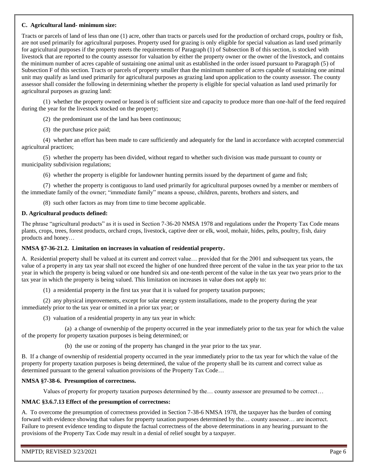#### **C. Agricultural land- minimum size:**

Tracts or parcels of land of less than one (1) acre, other than tracts or parcels used for the production of orchard crops, poultry or fish, are not used primarily for agricultural purposes. Property used for grazing is only eligible for special valuation as land used primarily for agricultural purposes if the property meets the requirements of Paragraph (1) of Subsection B of this section, is stocked with livestock that are reported to the county assessor for valuation by either the property owner or the owner of the livestock, and contains the minimum number of acres capable of sustaining one animal unit as established in the order issued pursuant to Paragraph (5) of Subsection F of this section. Tracts or parcels of property smaller than the minimum number of acres capable of sustaining one animal unit may qualify as land used primarily for agricultural purposes as grazing land upon application to the county assessor. The county assessor shall consider the following in determining whether the property is eligible for special valuation as land used primarily for agricultural purposes as grazing land:

(1) whether the property owned or leased is of sufficient size and capacity to produce more than one-half of the feed required during the year for the livestock stocked on the property;

(2) the predominant use of the land has been continuous;

(3) the purchase price paid;

(4) whether an effort has been made to care sufficiently and adequately for the land in accordance with accepted commercial agricultural practices;

(5) whether the property has been divided, without regard to whether such division was made pursuant to county or municipality subdivision regulations;

(6) whether the property is eligible for landowner hunting permits issued by the department of game and fish;

(7) whether the property is contiguous to land used primarily for agricultural purposes owned by a member or members of the immediate family of the owner; "immediate family" means a spouse, children, parents, brothers and sisters, and

(8) such other factors as may from time to time become applicable.

## **D. Agricultural products defined:**

The phrase "agricultural products" as it is used in Section 7-36-20 NMSA 1978 and regulations under the Property Tax Code means plants, crops, trees, forest products, orchard crops, livestock, captive deer or elk, wool, mohair, hides, pelts, poultry, fish, dairy products and honey…

#### **NMSA §7-36-21.2. Limitation on increases in valuation of residential property.**

A. Residential property shall be valued at its current and correct value… provided that for the 2001 and subsequent tax years, the value of a property in any tax year shall not exceed the higher of one hundred three percent of the value in the tax year prior to the tax year in which the property is being valued or one hundred six and one-tenth percent of the value in the tax year two years prior to the tax year in which the property is being valued. This limitation on increases in value does not apply to:

(1) a residential property in the first tax year that it is valued for property taxation purposes;

(2) any physical improvements, except for solar energy system installations, made to the property during the year immediately prior to the tax year or omitted in a prior tax year; or

(3) valuation of a residential property in any tax year in which:

(a) a change of ownership of the property occurred in the year immediately prior to the tax year for which the value of the property for property taxation purposes is being determined; or

(b) the use or zoning of the property has changed in the year prior to the tax year.

B. If a change of ownership of residential property occurred in the year immediately prior to the tax year for which the value of the property for property taxation purposes is being determined, the value of the property shall be its current and correct value as determined pursuant to the general valuation provisions of the Property Tax Code…

#### **NMSA §7-38-6. Presumption of correctness.**

Values of property for property taxation purposes determined by the… county assessor are presumed to be correct…

#### **NMAC §3.6.7.13 Effect of the presumption of correctness:**

A. To overcome the presumption of correctness provided in Section 7-38-6 NMSA 1978, the taxpayer has the burden of coming forward with evidence showing that values for property taxation purposes determined by the… county assessor… are incorrect. Failure to present evidence tending to dispute the factual correctness of the above determinations in any hearing pursuant to the provisions of the Property Tax Code may result in a denial of relief sought by a taxpayer.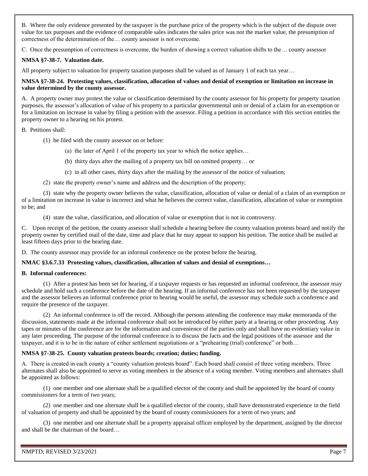B. Where the only evidence presented by the taxpayer is the purchase price of the property which is the subject of the dispute over value for tax purposes and the evidence of comparable sales indicates the sales price was not the market value, the presumption of correctness of the determination of the… county assessor is not overcome.

C. Once the presumption of correctness is overcome, the burden of showing a correct valuation shifts to the… county assessor

## **NMSA §7-38-7. Valuation date.**

All property subject to valuation for property taxation purposes shall be valued as of January 1 of each tax year...

#### **NMSA §7-38-24. Protesting values, classification, allocation of values and denial of exemption or limitation on increase in value determined by the county assessor.**

A. A property owner may protest the value or classification determined by the county assessor for his property for property taxation purposes, the assessor's allocation of value of his property to a particular governmental unit or denial of a claim for an exemption or for a limitation on increase in value by filing a petition with the assessor. Filing a petition in accordance with this section entitles the property owner to a hearing on his protest.

#### B. Petitions shall:

- (1) be filed with the county assessor on or before:
	- (a) the later of April 1 of the property tax year to which the notice applies…
	- (b) thirty days after the mailing of a property tax bill on omitted property… or
	- (c) in all other cases, thirty days after the mailing by the assessor of the notice of valuation;
- (2) state the property owner's name and address and the description of the property;

(3) state why the property owner believes the value, classification, allocation of value or denial of a claim of an exemption or of a limitation on increase in value is incorrect and what he believes the correct value, classification, allocation of value or exemption to be; and

(4) state the value, classification, and allocation of value or exemption that is not in controversy.

C. Upon receipt of the petition, the county assessor shall schedule a hearing before the county valuation protests board and notify the property owner by certified mail of the date, time and place that he may appear to support his petition. The notice shall be mailed at least fifteen days prior to the hearing date.

D. The county assessor may provide for an informal conference on the protest before the hearing.

#### **NMAC §3.6.7.33 Protesting values, classification, allocation of values and denial of exemptions…**

#### **B. Informal conferences:**

(1) After a protest has been set for hearing, if a taxpayer requests or has requested an informal conference, the assessor may schedule and hold such a conference before the date of the hearing. If an informal conference has not been requested by the taxpayer and the assessor believes an informal conference prior to hearing would be useful, the assessor may schedule such a conference and require the presence of the taxpayer.

(2) An informal conference is off the record. Although the persons attending the conference may make memoranda of the discussion, statements made at the informal conference shall not be introduced by either party at a hearing or other proceeding. Any tapes or minutes of the conference are for the information and convenience of the parties only and shall have no evidentiary value in any later proceeding. The purpose of the informal conference is to discuss the facts and the legal positions of the assessor and the taxpayer, and it is to be in the nature of either settlement negotiations or a "prehearing (trial) conference" or both…

#### **NMSA §7-38-25. County valuation protests boards; creation; duties; funding.**

A. There is created in each county a "county valuation protests board". Each board shall consist of three voting members. Three alternates shall also be appointed to serve as voting members in the absence of a voting member. Voting members and alternates shall be appointed as follows:

(1) one member and one alternate shall be a qualified elector of the county and shall be appointed by the board of county commissioners for a term of two years;

(2) one member and one alternate shall be a qualified elector of the county, shall have demonstrated experience in the field of valuation of property and shall be appointed by the board of county commissioners for a term of two years; and

(3) one member and one alternate shall be a property appraisal officer employed by the department, assigned by the director and shall be the chairman of the board…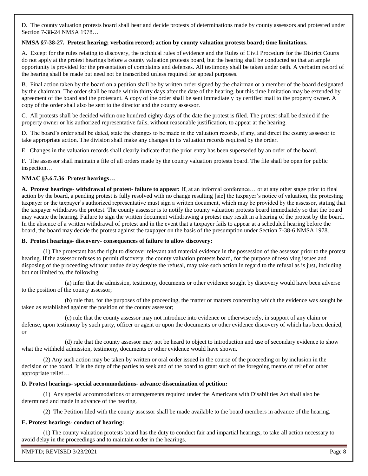D. The county valuation protests board shall hear and decide protests of determinations made by county assessors and protested under Section 7-38-24 NMSA 1978…

## **NMSA §7-38-27. Protest hearing; verbatim record; action by county valuation protests board; time limitations.**

A. Except for the rules relating to discovery, the technical rules of evidence and the Rules of Civil Procedure for the District Courts do not apply at the protest hearings before a county valuation protests board, but the hearing shall be conducted so that an ample opportunity is provided for the presentation of complaints and defenses. All testimony shall be taken under oath. A verbatim record of the hearing shall be made but need not be transcribed unless required for appeal purposes.

B. Final action taken by the board on a petition shall be by written order signed by the chairman or a member of the board designated by the chairman. The order shall be made within thirty days after the date of the hearing, but this time limitation may be extended by agreement of the board and the protestant. A copy of the order shall be sent immediately by certified mail to the property owner. A copy of the order shall also be sent to the director and the county assessor.

C. All protests shall be decided within one hundred eighty days of the date the protest is filed. The protest shall be denied if the property owner or his authorized representative fails, without reasonable justification, to appear at the hearing.

D. The board's order shall be dated, state the changes to be made in the valuation records, if any, and direct the county assessor to take appropriate action. The division shall make any changes in its valuation records required by the order.

E. Changes in the valuation records shall clearly indicate that the prior entry has been superseded by an order of the board.

F. The assessor shall maintain a file of all orders made by the county valuation protests board. The file shall be open for public inspection…

## **NMAC §3.6.7.36 Protest hearings…**

**A. Protest hearings- withdrawal of protest- failure to appear:** If, at an informal conference… or at any other stage prior to final action by the board, a pending protest is fully resolved with no change resulting [sic] the taxpayer's notice of valuation, the protesting taxpayer or the taxpayer's authorized representative must sign a written document, which may be provided by the assessor, stating that the taxpayer withdraws the protest. The county assessor is to notify the county valuation protests board immediately so that the board may vacate the hearing. Failure to sign the written document withdrawing a protest may result in a hearing of the protest by the board. In the absence of a written withdrawal of protest and in the event that a taxpayer fails to appear at a scheduled hearing before the board, the board may decide the protest against the taxpayer on the basis of the presumption under Section 7-38-6 NMSA 1978.

#### **B. Protest hearings- discovery- consequences of failure to allow discovery:**

(1) The protestant has the right to discover relevant and material evidence in the possession of the assessor prior to the protest hearing. If the assessor refuses to permit discovery, the county valuation protests board, for the purpose of resolving issues and disposing of the proceeding without undue delay despite the refusal, may take such action in regard to the refusal as is just, including but not limited to, the following:

(a) infer that the admission, testimony, documents or other evidence sought by discovery would have been adverse to the position of the county assessor;

(b) rule that, for the purposes of the proceeding, the matter or matters concerning which the evidence was sought be taken as established against the position of the county assessor;

(c) rule that the county assessor may not introduce into evidence or otherwise rely, in support of any claim or defense, upon testimony by such party, officer or agent or upon the documents or other evidence discovery of which has been denied; or

(d) rule that the county assessor may not be heard to object to introduction and use of secondary evidence to show what the withheld admission, testimony, documents or other evidence would have shown.

(2) Any such action may be taken by written or oral order issued in the course of the proceeding or by inclusion in the decision of the board. It is the duty of the parties to seek and of the board to grant such of the foregoing means of relief or other appropriate relief…

#### **D. Protest hearings- special accommodations- advance dissemination of petition:**

(1) Any special accommodations or arrangements required under the Americans with Disabilities Act shall also be determined and made in advance of the hearing.

(2) The Petition filed with the county assessor shall be made available to the board members in advance of the hearing.

## **E. Protest hearings- conduct of hearing:**

(1) The county valuation protests board has the duty to conduct fair and impartial hearings, to take all action necessary to avoid delay in the proceedings and to maintain order in the hearings.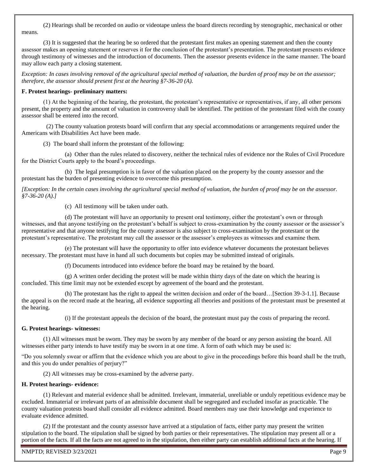(2) Hearings shall be recorded on audio or videotape unless the board directs recording by stenographic, mechanical or other means.

(3) It is suggested that the hearing be so ordered that the protestant first makes an opening statement and then the county assessor makes an opening statement or reserves it for the conclusion of the protestant's presentation. The protestant presents evidence through testimony of witnesses and the introduction of documents. Then the assessor presents evidence in the same manner. The board may allow each party a closing statement.

*Exception: In cases involving removal of the agricultural special method of valuation, the burden of proof may be on the assessor; therefore, the assessor should present first at the hearing §7-36-20 (A).*

#### **F. Protest hearings- preliminary matters:**

(1) At the beginning of the hearing, the protestant, the protestant's representative or representatives, if any, all other persons present, the property and the amount of valuation in controversy shall be identified. The petition of the protestant filed with the county assessor shall be entered into the record.

(2) The county valuation protests board will confirm that any special accommodations or arrangements required under the Americans with Disabilities Act have been made.

(3) The board shall inform the protestant of the following:

(a) Other than the rules related to discovery, neither the technical rules of evidence nor the Rules of Civil Procedure for the District Courts apply to the board's proceedings.

(b) The legal presumption is in favor of the valuation placed on the property by the county assessor and the protestant has the burden of presenting evidence to overcome this presumption.

*[Exception: In the certain cases involving the agricultural special method of valuation, the burden of proof may be on the assessor. §7-36-20 (A).]*

(c) All testimony will be taken under oath.

(d) The protestant will have an opportunity to present oral testimony, either the protestant's own or through witnesses, and that anyone testifying on the protestant's behalf is subject to cross-examination by the county assessor or the assessor's representative and that anyone testifying for the county assessor is also subject to cross-examination by the protestant or the protestant's representative. The protestant may call the assessor or the assessor's employees as witnesses and examine them.

(e) The protestant will have the opportunity to offer into evidence whatever documents the protestant believes necessary. The protestant must have in hand all such documents but copies may be submitted instead of originals.

(f) Documents introduced into evidence before the board may be retained by the board.

(g) A written order deciding the protest will be made within thirty days of the date on which the hearing is concluded. This time limit may not be extended except by agreement of the board and the protestant.

(h) The protestant has the right to appeal the written decision and order of the board…[Section 39-3-1.1]. Because the appeal is on the record made at the hearing, all evidence supporting all theories and positions of the protestant must be presented at the hearing.

(i) If the protestant appeals the decision of the board, the protestant must pay the costs of preparing the record.

## **G. Protest hearings- witnesses:**

(1) All witnesses must be sworn. They may be sworn by any member of the board or any person assisting the board. All witnesses either party intends to have testify may be sworn in at one time. A form of oath which may be used is:

"Do you solemnly swear or affirm that the evidence which you are about to give in the proceedings before this board shall be the truth, and this you do under penalties of perjury?"

(2) All witnesses may be cross-examined by the adverse party.

## **H. Protest hearings- evidence:**

(1) Relevant and material evidence shall be admitted. Irrelevant, immaterial, unreliable or unduly repetitious evidence may be excluded. Immaterial or irrelevant parts of an admissible document shall be segregated and excluded insofar as practicable. The county valuation protests board shall consider all evidence admitted. Board members may use their knowledge and experience to evaluate evidence admitted.

(2) If the protestant and the county assessor have arrived at a stipulation of facts, either party may present the written stipulation to the board. The stipulation shall be signed by both parties or their representatives. The stipulation may present all or a portion of the facts. If all the facts are not agreed to in the stipulation, then either party can establish additional facts at the hearing. If